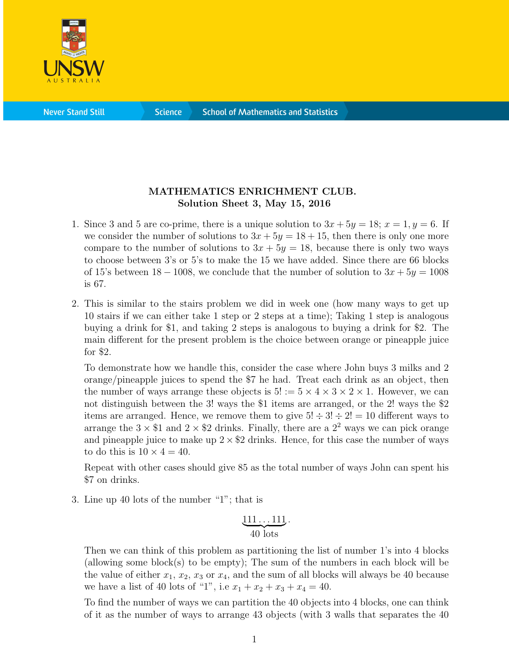

**Science** 

## MATHEMATICS ENRICHMENT CLUB. Solution Sheet 3, May 15, 2016

- 1. Since 3 and 5 are co-prime, there is a unique solution to  $3x + 5y = 18$ ;  $x = 1$ ,  $y = 6$ . If we consider the number of solutions to  $3x + 5y = 18 + 15$ , then there is only one more compare to the number of solutions to  $3x + 5y = 18$ , because there is only two ways to choose between 3's or 5's to make the 15 we have added. Since there are 66 blocks of 15's between  $18 - 1008$ , we conclude that the number of solution to  $3x + 5y = 1008$ is 67.
- 2. This is similar to the stairs problem we did in week one (how many ways to get up 10 stairs if we can either take 1 step or 2 steps at a time); Taking 1 step is analogous buying a drink for \$1, and taking 2 steps is analogous to buying a drink for \$2. The main different for the present problem is the choice between orange or pineapple juice for \$2.

To demonstrate how we handle this, consider the case where John buys 3 milks and 2 orange/pineapple juices to spend the \$7 he had. Treat each drink as an object, then the number of ways arrange these objects is  $5! := 5 \times 4 \times 3 \times 2 \times 1$ . However, we can not distinguish between the 3! ways the \$1 items are arranged, or the 2! ways the \$2 items are arranged. Hence, we remove them to give  $5! \div 3! \div 2! = 10$  different ways to arrange the  $3 \times \$1$  and  $2 \times \$2$  drinks. Finally, there are a  $2^2$  ways we can pick orange and pineapple juice to make up  $2 \times $2$  drinks. Hence, for this case the number of ways to do this is  $10 \times 4 = 40$ .

Repeat with other cases should give 85 as the total number of ways John can spent his \$7 on drinks.

3. Line up 40 lots of the number "1"; that is

$$
\underbrace{111\ldots111}_{40\text{ lots}}.
$$

Then we can think of this problem as partitioning the list of number 1's into 4 blocks (allowing some block(s) to be empty); The sum of the numbers in each block will be the value of either  $x_1, x_2, x_3$  or  $x_4$ , and the sum of all blocks will always be 40 because we have a list of 40 lots of "1", i.e  $x_1 + x_2 + x_3 + x_4 = 40$ .

To find the number of ways we can partition the 40 objects into 4 blocks, one can think of it as the number of ways to arrange 43 objects (with 3 walls that separates the 40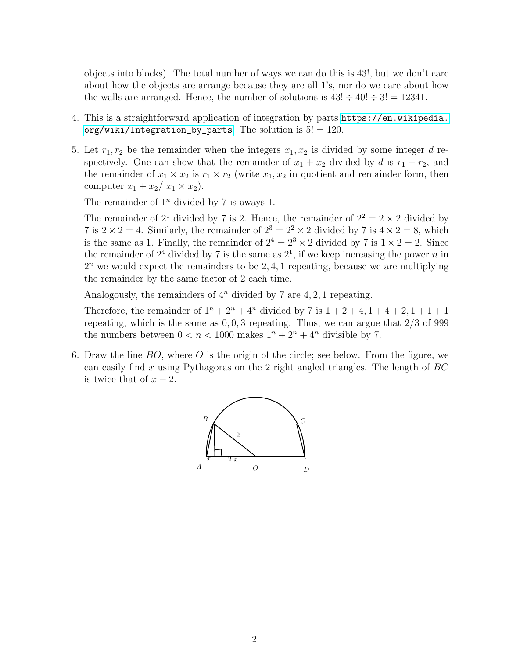objects into blocks). The total number of ways we can do this is 43!, but we don't care about how the objects are arrange because they are all 1's, nor do we care about how the walls are arranged. Hence, the number of solutions is  $43! \div 40! \div 3! = 12341$ .

- 4. This is a straightforward application of integration by parts [https://en.wikipedia.](https://en.wikipedia.org/wiki/Integration_by_parts) [org/wiki/Integration\\_by\\_parts](https://en.wikipedia.org/wiki/Integration_by_parts). The solution is  $5! = 120$ .
- 5. Let  $r_1, r_2$  be the remainder when the integers  $x_1, x_2$  is divided by some integer d respectively. One can show that the remainder of  $x_1 + x_2$  divided by d is  $r_1 + r_2$ , and the remainder of  $x_1 \times x_2$  is  $r_1 \times r_2$  (write  $x_1, x_2$  in quotient and remainder form, then computer  $x_1 + x_2/x_1 \times x_2$ .

The remainder of  $1^n$  divided by 7 is aways 1.

The remainder of  $2^1$  divided by 7 is 2. Hence, the remainder of  $2^2 = 2 \times 2$  divided by 7 is  $2 \times 2 = 4$ . Similarly, the remainder of  $2^3 = 2^2 \times 2$  divided by 7 is  $4 \times 2 = 8$ , which is the same as 1. Finally, the remainder of  $2^4 = 2^3 \times 2$  divided by 7 is  $1 \times 2 = 2$ . Since the remainder of  $2^4$  divided by 7 is the same as  $2^1$ , if we keep increasing the power n in  $2<sup>n</sup>$  we would expect the remainders to be 2, 4, 1 repeating, because we are multiplying the remainder by the same factor of 2 each time.

Analogously, the remainders of  $4^n$  divided by 7 are 4, 2, 1 repeating.

Therefore, the remainder of  $1^n + 2^n + 4^n$  divided by 7 is  $1 + 2 + 4$ ,  $1 + 4 + 2$ ,  $1 + 1 + 1$ repeating, which is the same as  $0, 0, 3$  repeating. Thus, we can argue that  $2/3$  of 999 the numbers between  $0 < n < 1000$  makes  $1^n + 2^n + 4^n$  divisible by 7.

6. Draw the line  $BO$ , where O is the origin of the circle; see below. From the figure, we can easily find x using Pythagoras on the 2 right angled triangles. The length of  $BC$ is twice that of  $x - 2$ .